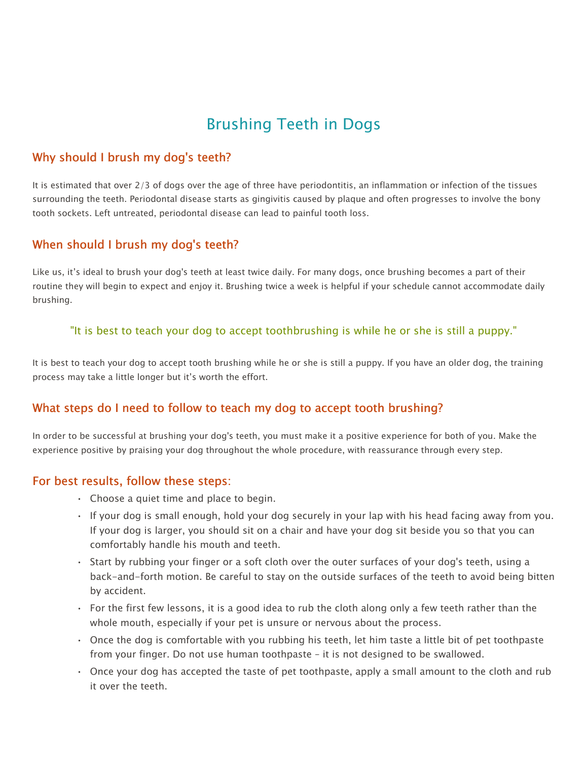# Brushing Teeth in Dogs

## Why should I brush my dog's teeth?

It is estimated that over 2/3 of dogs over the age of three have periodontitis, an inflammation or infection of the tissues surrounding the teeth. Periodontal disease starts as gingivitis caused by plaque and often progresses to involve the bony tooth sockets. Left untreated, periodontal disease can lead to painful tooth loss.

#### When should I brush my dog's teeth?

Like us, it's ideal to brush your dog's teeth at least twice daily. For many dogs, once brushing becomes a part of their routine they will begin to expect and enjoy it. Brushing twice a week is helpful if your schedule cannot accommodate daily brushing.

#### "It is best to teach your dog to accept toothbrushing is while he or she is still a puppy."

It is best to teach your dog to accept tooth brushing while he or she is still a puppy. If you have an older dog, the training process may take a little longer but it's worth the effort.

## What steps do I need to follow to teach my dog to accept tooth brushing?

In order to be successful at brushing your dog's teeth, you must make it a positive experience for both of you. Make the experience positive by praising your dog throughout the whole procedure, with reassurance through every step.

#### For best results, follow these steps:

- Choose a quiet time and place to begin.
- If your dog is small enough, hold your dog securely in your lap with his head facing away from you. If your dog is larger, you should sit on a chair and have your dog sit beside you so that you can comfortably handle his mouth and teeth.
- Start by rubbing your finger or a soft cloth over the outer surfaces of your dog's teeth, using a back-and-forth motion. Be careful to stay on the outside surfaces of the teeth to avoid being bitten by accident.
- For the first few lessons, it is a good idea to rub the cloth along only a few teeth rather than the whole mouth, especially if your pet is unsure or nervous about the process.
- Once the dog is comfortable with you rubbing his teeth, let him taste a little bit of pet toothpaste from your finger. Do not use human toothpaste – it is not designed to be swallowed.
- Once your dog has accepted the taste of pet toothpaste, apply a small amount to the cloth and rub it over the teeth.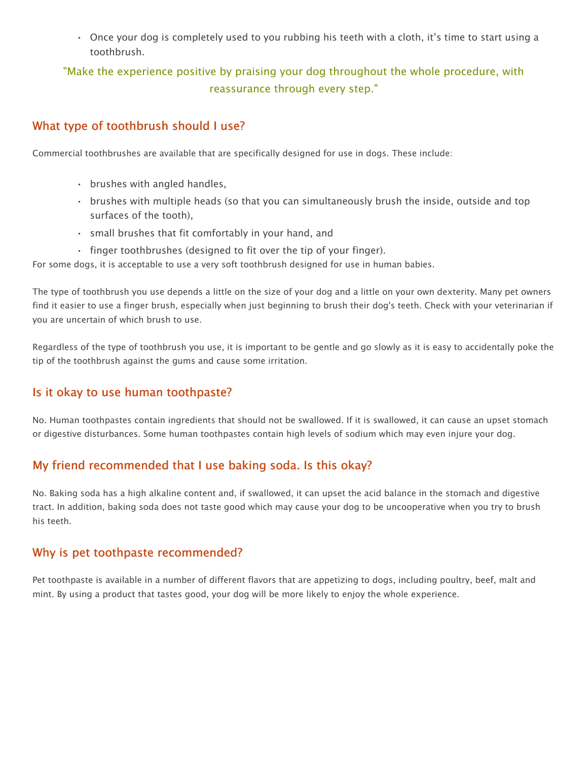• Once your dog is completely used to you rubbing his teeth with a cloth, it's time to start using a toothbrush.

# "Make the experience positive by praising your dog throughout the whole procedure, with reassurance through every step."

## What type of toothbrush should I use?

Commercial toothbrushes are available that are specifically designed for use in dogs. These include:

- brushes with angled handles,
- brushes with multiple heads (so that you can simultaneously brush the inside, outside and top surfaces of the tooth),
- small brushes that fit comfortably in your hand, and
- finger toothbrushes (designed to fit over the tip of your finger).

For some dogs, it is acceptable to use a very soft toothbrush designed for use in human babies.

The type of toothbrush you use depends a little on the size of your dog and a little on your own dexterity. Many pet owners find it easier to use a finger brush, especially when just beginning to brush their dog's teeth. Check with your veterinarian if you are uncertain of which brush to use.

Regardless of the type of toothbrush you use, it is important to be gentle and go slowly as it is easy to accidentally poke the tip of the toothbrush against the gums and cause some irritation.

## Is it okay to use human toothpaste?

No. Human toothpastes contain ingredients that should not be swallowed. If it is swallowed, it can cause an upset stomach or digestive disturbances. Some human toothpastes contain high levels of sodium which may even injure your dog.

## My friend recommended that I use baking soda. Is this okay?

No. Baking soda has a high alkaline content and, if swallowed, it can upset the acid balance in the stomach and digestive tract. In addition, baking soda does not taste good which may cause your dog to be uncooperative when you try to brush his teeth.

#### Why is pet toothpaste recommended?

Pet toothpaste is available in a number of different flavors that are appetizing to dogs, including poultry, beef, malt and mint. By using a product that tastes good, your dog will be more likely to enjoy the whole experience.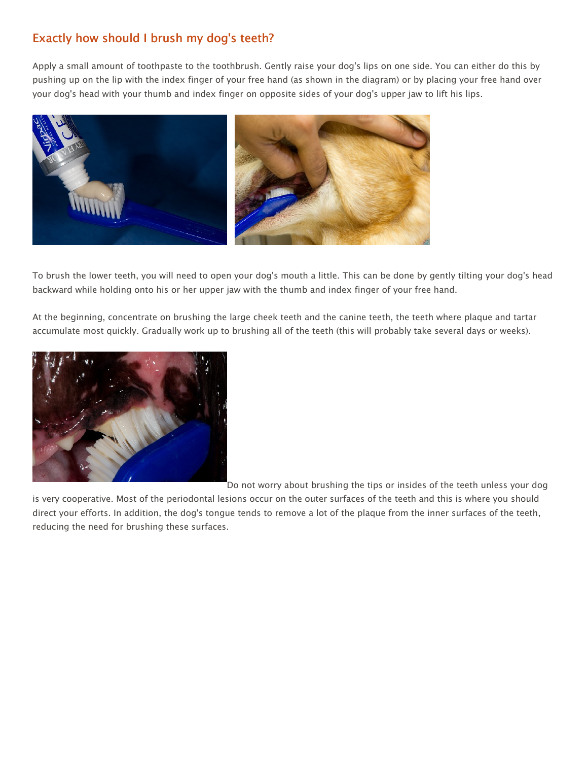# Exactly how should I brush my dog's teeth?

Apply a small amount of toothpaste to the toothbrush. Gently raise your dog's lips on one side. You can either do this by pushing up on the lip with the index finger of your free hand (as shown in the diagram) or by placing your free hand over your dog's head with your thumb and index finger on opposite sides of your dog's upper jaw to lift his lips.



To brush the lower teeth, you will need to open your dog's mouth a little. This can be done by gently tilting your dog's head backward while holding onto his or her upper jaw with the thumb and index finger of your free hand.

At the beginning, concentrate on brushing the large cheek teeth and the canine teeth, the teeth where plaque and tartar accumulate most quickly. Gradually work up to brushing all of the teeth (this will probably take several days or weeks).



Do not worry about brushing the tips or insides of the teeth unless your dog

is very cooperative. Most of the periodontal lesions occur on the outer surfaces of the teeth and this is where you should direct your efforts. In addition, the dog's tongue tends to remove a lot of the plaque from the inner surfaces of the teeth, reducing the need for brushing these surfaces.